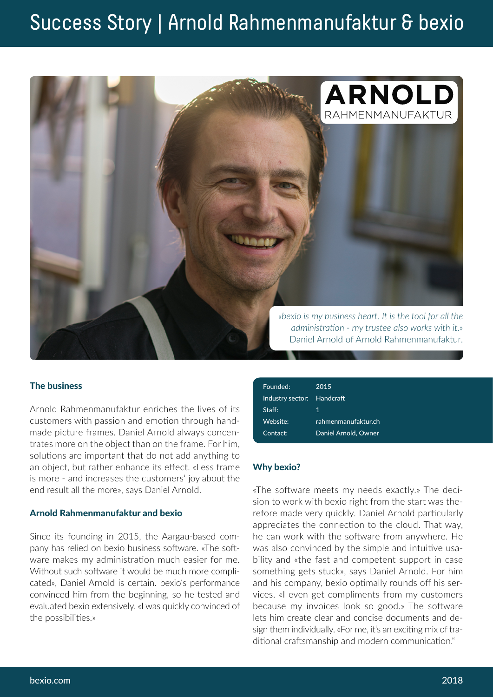## Success Story | Arnold Rahmenmanufaktur & bexio



#### The business

Arnold Rahmenmanufaktur enriches the lives of its customers with passion and emotion through handmade picture frames. Daniel Arnold always concentrates more on the object than on the frame. For him, solutions are important that do not add anything to an object, but rather enhance its effect. «Less frame is more - and increases the customers' joy about the end result all the more», says Daniel Arnold.

#### Arnold Rahmenmanufaktur and bexio

Since its founding in 2015, the Aargau-based company has relied on bexio business software. «The software makes my administration much easier for me. Without such software it would be much more complicated», Daniel Arnold is certain. bexio's performance convinced him from the beginning, so he tested and evaluated bexio extensively. «I was quickly convinced of the possibilities.»

| 2015                 |
|----------------------|
| Handcraft            |
| 1                    |
| rahmenmanufaktur.ch  |
| Daniel Arnold, Owner |
|                      |

#### Why bexio?

«The software meets my needs exactly.» The decision to work with bexio right from the start was therefore made very quickly. Daniel Arnold particularly appreciates the connection to the cloud. That way, he can work with the software from anywhere. He was also convinced by the simple and intuitive usability and «the fast and competent support in case something gets stuck», says Daniel Arnold. For him and his company, bexio optimally rounds off his services. «I even get compliments from my customers because my invoices look so good.» The software lets him create clear and concise documents and design them individually. «For me, it's an exciting mix of traditional craftsmanship and modern communication."